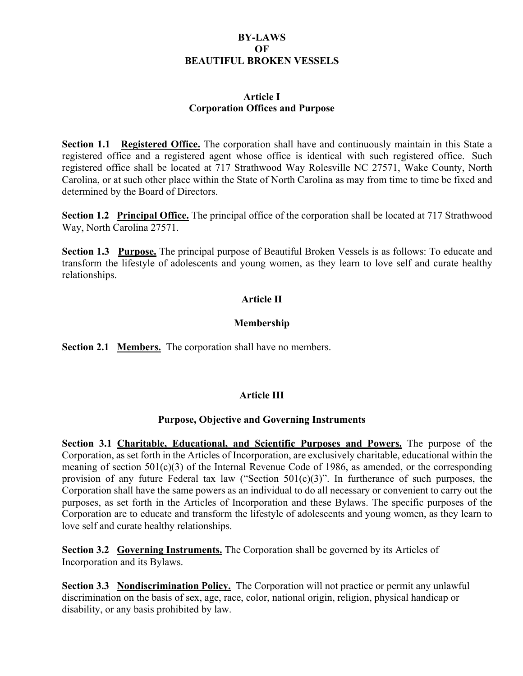#### **BY-LAWS OF BEAUTIFUL BROKEN VESSELS**

#### **Article I Corporation Offices and Purpose**

**Section 1.1 Registered Office.** The corporation shall have and continuously maintain in this State a registered office and a registered agent whose office is identical with such registered office. Such registered office shall be located at 717 Strathwood Way Rolesville NC 27571, Wake County, North Carolina, or at such other place within the State of North Carolina as may from time to time be fixed and determined by the Board of Directors.

**Section 1.2 Principal Office.** The principal office of the corporation shall be located at 717 Strathwood Way, North Carolina 27571.

**Section 1.3 Purpose.** The principal purpose of Beautiful Broken Vessels is as follows: To educate and transform the lifestyle of adolescents and young women, as they learn to love self and curate healthy relationships.

## **Article II**

#### **Membership**

**Section 2.1 Members.** The corporation shall have no members.

### **Article III**

#### **Purpose, Objective and Governing Instruments**

**Section 3.1 Charitable, Educational, and Scientific Purposes and Powers.** The purpose of the Corporation, as set forth in the Articles of Incorporation, are exclusively charitable, educational within the meaning of section 501(c)(3) of the Internal Revenue Code of 1986, as amended, or the corresponding provision of any future Federal tax law ("Section  $501(c)(3)$ ". In furtherance of such purposes, the Corporation shall have the same powers as an individual to do all necessary or convenient to carry out the purposes, as set forth in the Articles of Incorporation and these Bylaws. The specific purposes of the Corporation are to educate and transform the lifestyle of adolescents and young women, as they learn to love self and curate healthy relationships.

**Section 3.2 Governing Instruments.** The Corporation shall be governed by its Articles of Incorporation and its Bylaws.

**Section 3.3 Nondiscrimination Policy.** The Corporation will not practice or permit any unlawful discrimination on the basis of sex, age, race, color, national origin, religion, physical handicap or disability, or any basis prohibited by law.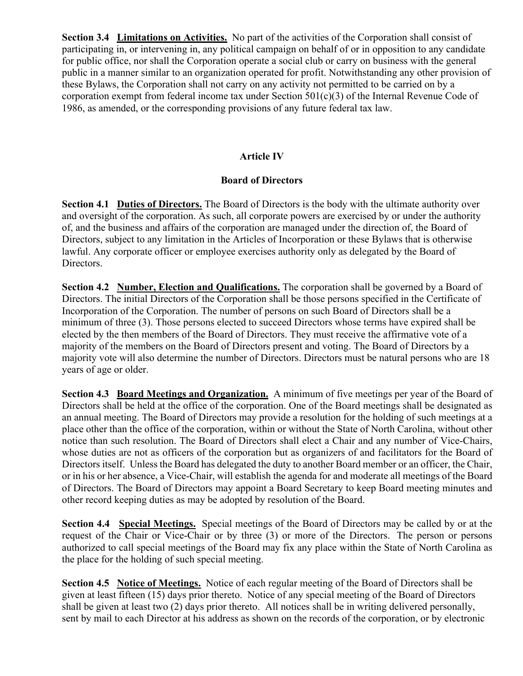**Section 3.4 Limitations on Activities.** No part of the activities of the Corporation shall consist of participating in, or intervening in, any political campaign on behalf of or in opposition to any candidate for public office, nor shall the Corporation operate a social club or carry on business with the general public in a manner similar to an organization operated for profit. Notwithstanding any other provision of these Bylaws, the Corporation shall not carry on any activity not permitted to be carried on by a corporation exempt from federal income tax under Section  $501(c)(3)$  of the Internal Revenue Code of 1986, as amended, or the corresponding provisions of any future federal tax law.

# **Article IV**

## **Board of Directors**

**Section 4.1 Duties of Directors.** The Board of Directors is the body with the ultimate authority over and oversight of the corporation. As such, all corporate powers are exercised by or under the authority of, and the business and affairs of the corporation are managed under the direction of, the Board of Directors, subject to any limitation in the Articles of Incorporation or these Bylaws that is otherwise lawful. Any corporate officer or employee exercises authority only as delegated by the Board of Directors.

**Section 4.2 Number, Election and Qualifications.** The corporation shall be governed by a Board of Directors. The initial Directors of the Corporation shall be those persons specified in the Certificate of Incorporation of the Corporation. The number of persons on such Board of Directors shall be a minimum of three (3). Those persons elected to succeed Directors whose terms have expired shall be elected by the then members of the Board of Directors. They must receive the affirmative vote of a majority of the members on the Board of Directors present and voting. The Board of Directors by a majority vote will also determine the number of Directors. Directors must be natural persons who are 18 years of age or older.

**Section 4.3 Board Meetings and Organization.** A minimum of five meetings per year of the Board of Directors shall be held at the office of the corporation. One of the Board meetings shall be designated as an annual meeting. The Board of Directors may provide a resolution for the holding of such meetings at a place other than the office of the corporation, within or without the State of North Carolina, without other notice than such resolution. The Board of Directors shall elect a Chair and any number of Vice-Chairs, whose duties are not as officers of the corporation but as organizers of and facilitators for the Board of Directors itself. Unless the Board has delegated the duty to another Board member or an officer, the Chair, or in his or her absence, a Vice-Chair, will establish the agenda for and moderate all meetings of the Board of Directors. The Board of Directors may appoint a Board Secretary to keep Board meeting minutes and other record keeping duties as may be adopted by resolution of the Board.

**Section 4.4 Special Meetings.** Special meetings of the Board of Directors may be called by or at the request of the Chair or Vice-Chair or by three (3) or more of the Directors. The person or persons authorized to call special meetings of the Board may fix any place within the State of North Carolina as the place for the holding of such special meeting.

**Section 4.5 Notice of Meetings.** Notice of each regular meeting of the Board of Directors shall be given at least fifteen (15) days prior thereto. Notice of any special meeting of the Board of Directors shall be given at least two (2) days prior thereto. All notices shall be in writing delivered personally, sent by mail to each Director at his address as shown on the records of the corporation, or by electronic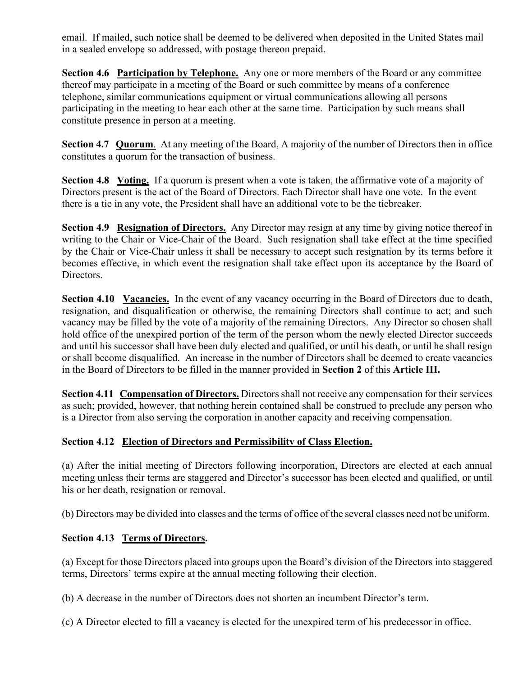email. If mailed, such notice shall be deemed to be delivered when deposited in the United States mail in a sealed envelope so addressed, with postage thereon prepaid.

**Section 4.6 Participation by Telephone.** Any one or more members of the Board or any committee thereof may participate in a meeting of the Board or such committee by means of a conference telephone, similar communications equipment or virtual communications allowing all persons participating in the meeting to hear each other at the same time. Participation by such means shall constitute presence in person at a meeting.

**Section 4.7 Quorum**. At any meeting of the Board, A majority of the number of Directors then in office constitutes a quorum for the transaction of business.

**Section 4.8 Voting.** If a quorum is present when a vote is taken, the affirmative vote of a majority of Directors present is the act of the Board of Directors. Each Director shall have one vote. In the event there is a tie in any vote, the President shall have an additional vote to be the tiebreaker.

**Section 4.9 Resignation of Directors.** Any Director may resign at any time by giving notice thereof in writing to the Chair or Vice-Chair of the Board. Such resignation shall take effect at the time specified by the Chair or Vice-Chair unless it shall be necessary to accept such resignation by its terms before it becomes effective, in which event the resignation shall take effect upon its acceptance by the Board of Directors.

**Section 4.10 Vacancies.** In the event of any vacancy occurring in the Board of Directors due to death, resignation, and disqualification or otherwise, the remaining Directors shall continue to act; and such vacancy may be filled by the vote of a majority of the remaining Directors. Any Director so chosen shall hold office of the unexpired portion of the term of the person whom the newly elected Director succeeds and until his successor shall have been duly elected and qualified, or until his death, or until he shall resign or shall become disqualified. An increase in the number of Directors shall be deemed to create vacancies in the Board of Directors to be filled in the manner provided in **Section 2** of this **Article III.**

**Section 4.11 Compensation of Directors.** Directors shall not receive any compensation for their services as such; provided, however, that nothing herein contained shall be construed to preclude any person who is a Director from also serving the corporation in another capacity and receiving compensation.

### **Section 4.12 Election of Directors and Permissibility of Class Election.**

(a) After the initial meeting of Directors following incorporation, Directors are elected at each annual meeting unless their terms are staggered and Director's successor has been elected and qualified, or until his or her death, resignation or removal.

(b) Directors may be divided into classes and the terms of office of the several classes need not be uniform.

# **Section 4.13 Terms of Directors.**

(a) Except for those Directors placed into groups upon the Board's division of the Directors into staggered terms, Directors' terms expire at the annual meeting following their election.

(b) A decrease in the number of Directors does not shorten an incumbent Director's term.

(c) A Director elected to fill a vacancy is elected for the unexpired term of his predecessor in office.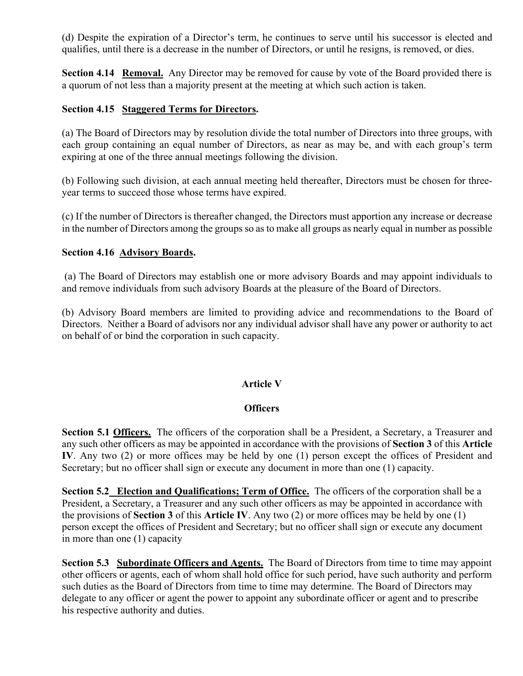(d) Despite the expiration of a Director's term, he continues to serve until his successor is elected and qualifies, until there is a decrease in the number of Directors, or until he resigns, is removed, or dies.

**Section 4.14 Removal.** Any Director may be removed for cause by vote of the Board provided there is a quorum of not less than a majority present at the meeting at which such action is taken.

## **Section 4.15 Staggered Terms for Directors.**

(a) The Board of Directors may by resolution divide the total number of Directors into three groups, with each group containing an equal number of Directors, as near as may be, and with each group's term expiring at one of the three annual meetings following the division.

(b) Following such division, at each annual meeting held thereafter, Directors must be chosen for threeyear terms to succeed those whose terms have expired.

(c) If the number of Directors is thereafter changed, the Directors must apportion any increase or decrease in the number of Directors among the groups so as to make all groups as nearly equal in number as possible

#### **Section 4.16 Advisory Boards.**

(a) The Board of Directors may establish one or more advisory Boards and may appoint individuals to and remove individuals from such advisory Boards at the pleasure of the Board of Directors.

(b) Advisory Board members are limited to providing advice and recommendations to the Board of Directors. Neither a Board of advisors nor any individual advisor shall have any power or authority to act on behalf of or bind the corporation in such capacity.

### **Article V**

### **Officers**

Section 5.1 **Officers.** The officers of the corporation shall be a President, a Secretary, a Treasurer and any such other officers as may be appointed in accordance with the provisions of **Section 3** of this **Article IV**. Any two (2) or more offices may be held by one (1) person except the offices of President and Secretary; but no officer shall sign or execute any document in more than one (1) capacity.

**Section 5.2 Election and Qualifications; Term of Office.** The officers of the corporation shall be a President, a Secretary, a Treasurer and any such other officers as may be appointed in accordance with the provisions of **Section 3** of this **Article IV**. Any two (2) or more offices may be held by one (1) person except the offices of President and Secretary; but no officer shall sign or execute any document in more than one (1) capacity

**Section 5.3 Subordinate Officers and Agents.** The Board of Directors from time to time may appoint other officers or agents, each of whom shall hold office for such period, have such authority and perform such duties as the Board of Directors from time to time may determine. The Board of Directors may delegate to any officer or agent the power to appoint any subordinate officer or agent and to prescribe his respective authority and duties.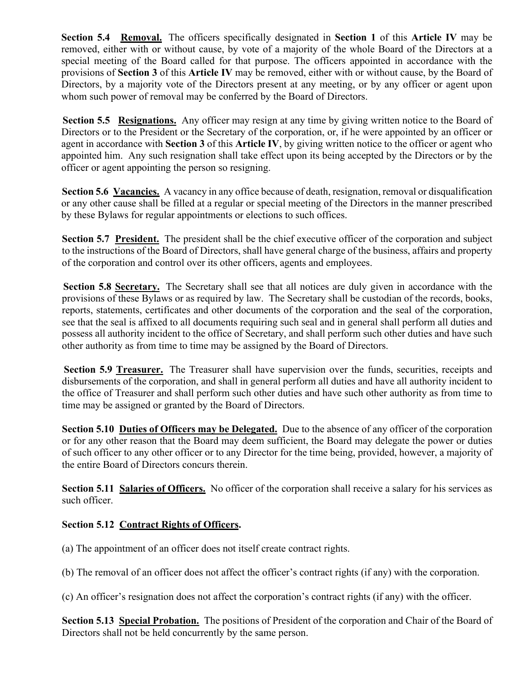**Section 5.4 Removal.** The officers specifically designated in **Section 1** of this **Article IV** may be removed, either with or without cause, by vote of a majority of the whole Board of the Directors at a special meeting of the Board called for that purpose. The officers appointed in accordance with the provisions of **Section 3** of this **Article IV** may be removed, either with or without cause, by the Board of Directors, by a majority vote of the Directors present at any meeting, or by any officer or agent upon whom such power of removal may be conferred by the Board of Directors.

**Section 5.5 Resignations.** Any officer may resign at any time by giving written notice to the Board of Directors or to the President or the Secretary of the corporation, or, if he were appointed by an officer or agent in accordance with **Section 3** of this **Article IV**, by giving written notice to the officer or agent who appointed him. Any such resignation shall take effect upon its being accepted by the Directors or by the officer or agent appointing the person so resigning.

**Section 5.6 Vacancies.** A vacancy in any office because of death, resignation, removal or disqualification or any other cause shall be filled at a regular or special meeting of the Directors in the manner prescribed by these Bylaws for regular appointments or elections to such offices.

Section 5.7 President. The president shall be the chief executive officer of the corporation and subject to the instructions of the Board of Directors, shall have general charge of the business, affairs and property of the corporation and control over its other officers, agents and employees.

**Section 5.8 Secretary.** The Secretary shall see that all notices are duly given in accordance with the provisions of these Bylaws or as required by law. The Secretary shall be custodian of the records, books, reports, statements, certificates and other documents of the corporation and the seal of the corporation, see that the seal is affixed to all documents requiring such seal and in general shall perform all duties and possess all authority incident to the office of Secretary, and shall perform such other duties and have such other authority as from time to time may be assigned by the Board of Directors.

**Section 5.9 Treasurer.** The Treasurer shall have supervision over the funds, securities, receipts and disbursements of the corporation, and shall in general perform all duties and have all authority incident to the office of Treasurer and shall perform such other duties and have such other authority as from time to time may be assigned or granted by the Board of Directors.

**Section 5.10 Duties of Officers may be Delegated.** Due to the absence of any officer of the corporation or for any other reason that the Board may deem sufficient, the Board may delegate the power or duties of such officer to any other officer or to any Director for the time being, provided, however, a majority of the entire Board of Directors concurs therein.

**Section 5.11 Salaries of Officers.** No officer of the corporation shall receive a salary for his services as such officer.

# **Section 5.12 Contract Rights of Officers.**

(a) The appointment of an officer does not itself create contract rights.

(b) The removal of an officer does not affect the officer's contract rights (if any) with the corporation.

(c) An officer's resignation does not affect the corporation's contract rights (if any) with the officer.

**Section 5.13 Special Probation.** The positions of President of the corporation and Chair of the Board of Directors shall not be held concurrently by the same person.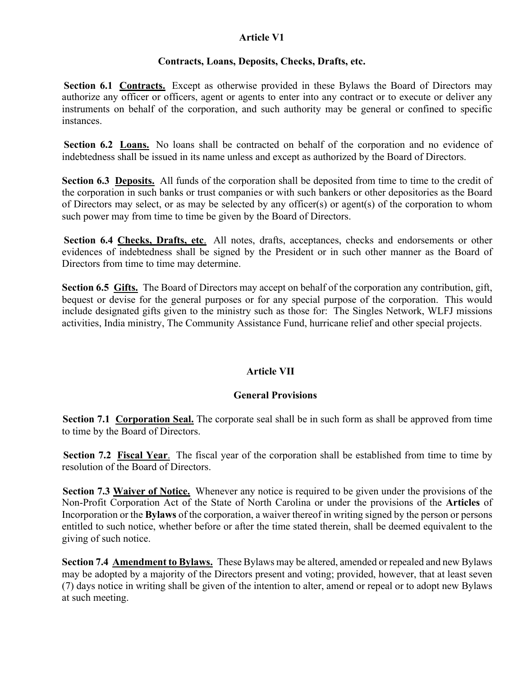## **Article V1**

### **Contracts, Loans, Deposits, Checks, Drafts, etc.**

**Section 6.1 Contracts.** Except as otherwise provided in these Bylaws the Board of Directors may authorize any officer or officers, agent or agents to enter into any contract or to execute or deliver any instruments on behalf of the corporation, and such authority may be general or confined to specific instances.

**Section 6.2 Loans.** No loans shall be contracted on behalf of the corporation and no evidence of indebtedness shall be issued in its name unless and except as authorized by the Board of Directors.

**Section 6.3 Deposits.** All funds of the corporation shall be deposited from time to time to the credit of the corporation in such banks or trust companies or with such bankers or other depositories as the Board of Directors may select, or as may be selected by any officer(s) or agent(s) of the corporation to whom such power may from time to time be given by the Board of Directors.

**Section 6.4 Checks, Drafts, etc**. All notes, drafts, acceptances, checks and endorsements or other evidences of indebtedness shall be signed by the President or in such other manner as the Board of Directors from time to time may determine.

**Section 6.5 Gifts.** The Board of Directors may accept on behalf of the corporation any contribution, gift, bequest or devise for the general purposes or for any special purpose of the corporation. This would include designated gifts given to the ministry such as those for: The Singles Network, WLFJ missions activities, India ministry, The Community Assistance Fund, hurricane relief and other special projects.

### **Article VII**

### **General Provisions**

**Section 7.1 Corporation Seal.** The corporate seal shall be in such form as shall be approved from time to time by the Board of Directors.

**Section 7.2 Fiscal Year**. The fiscal year of the corporation shall be established from time to time by resolution of the Board of Directors.

**Section 7.3 Waiver of Notice.** Whenever any notice is required to be given under the provisions of the Non-Profit Corporation Act of the State of North Carolina or under the provisions of the **Articles** of Incorporation or the **Bylaws** of the corporation, a waiver thereof in writing signed by the person or persons entitled to such notice, whether before or after the time stated therein, shall be deemed equivalent to the giving of such notice.

**Section 7.4 Amendment to Bylaws.** These Bylaws may be altered, amended or repealed and new Bylaws may be adopted by a majority of the Directors present and voting; provided, however, that at least seven (7) days notice in writing shall be given of the intention to alter, amend or repeal or to adopt new Bylaws at such meeting.